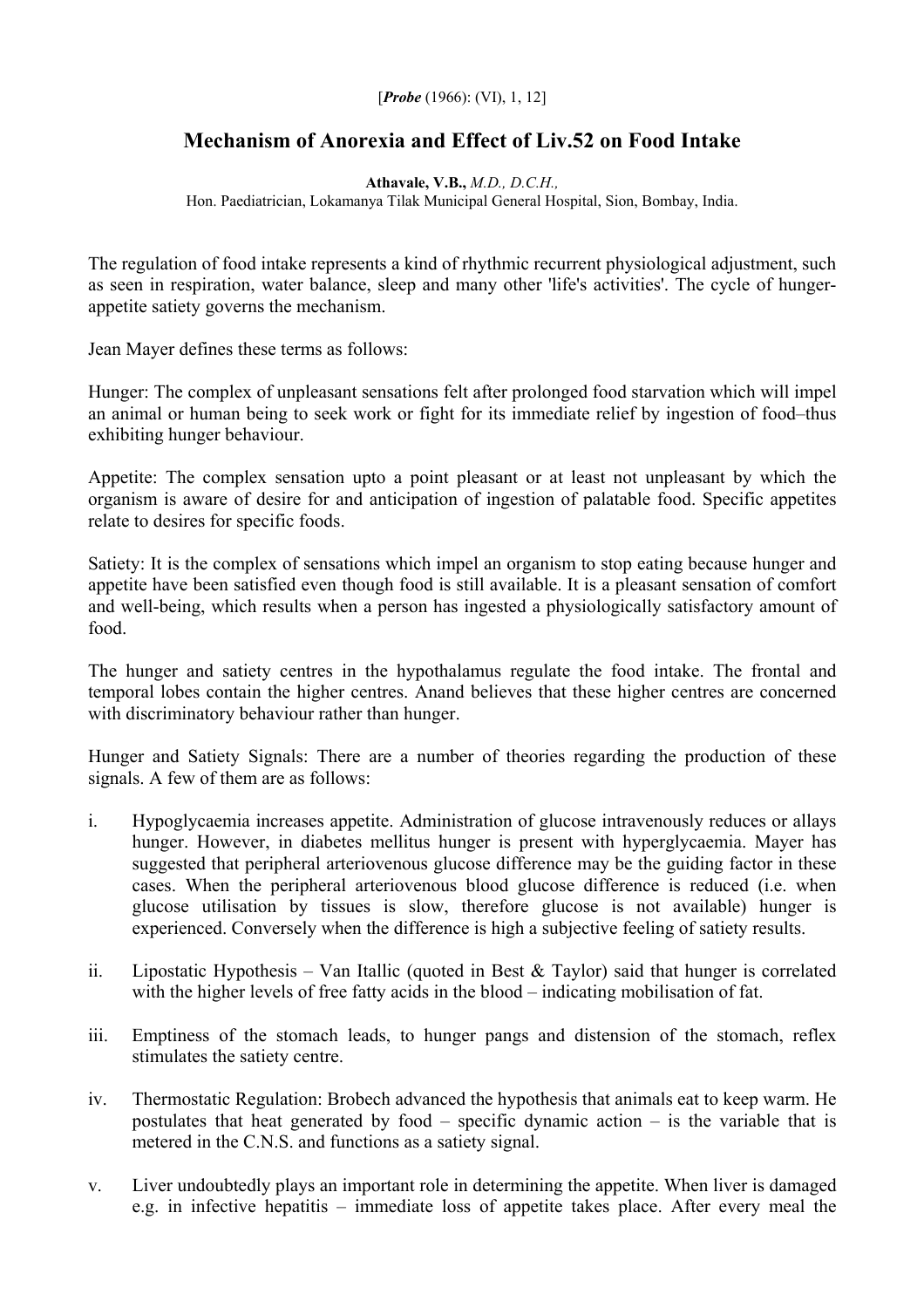## [*Probe* (1966): (VI), 1, 12]

## **Mechanism of Anorexia and Effect of Liv.52 on Food Intake**

**Athavale, V.B.,** *M.D., D.C.H.,*  Hon. Paediatrician, Lokamanya Tilak Municipal General Hospital, Sion, Bombay, India.

The regulation of food intake represents a kind of rhythmic recurrent physiological adjustment, such as seen in respiration, water balance, sleep and many other 'life's activities'. The cycle of hungerappetite satiety governs the mechanism.

Jean Mayer defines these terms as follows:

Hunger: The complex of unpleasant sensations felt after prolonged food starvation which will impel an animal or human being to seek work or fight for its immediate relief by ingestion of food–thus exhibiting hunger behaviour.

Appetite: The complex sensation upto a point pleasant or at least not unpleasant by which the organism is aware of desire for and anticipation of ingestion of palatable food. Specific appetites relate to desires for specific foods.

Satiety: It is the complex of sensations which impel an organism to stop eating because hunger and appetite have been satisfied even though food is still available. It is a pleasant sensation of comfort and well-being, which results when a person has ingested a physiologically satisfactory amount of food.

The hunger and satiety centres in the hypothalamus regulate the food intake. The frontal and temporal lobes contain the higher centres. Anand believes that these higher centres are concerned with discriminatory behaviour rather than hunger.

Hunger and Satiety Signals: There are a number of theories regarding the production of these signals. A few of them are as follows:

- i. Hypoglycaemia increases appetite. Administration of glucose intravenously reduces or allays hunger. However, in diabetes mellitus hunger is present with hyperglycaemia. Mayer has suggested that peripheral arteriovenous glucose difference may be the guiding factor in these cases. When the peripheral arteriovenous blood glucose difference is reduced (i.e. when glucose utilisation by tissues is slow, therefore glucose is not available) hunger is experienced. Conversely when the difference is high a subjective feeling of satiety results.
- ii. Lipostatic Hypothesis Van Itallic (quoted in Best & Taylor) said that hunger is correlated with the higher levels of free fatty acids in the blood – indicating mobilisation of fat.
- iii. Emptiness of the stomach leads, to hunger pangs and distension of the stomach, reflex stimulates the satiety centre.
- iv. Thermostatic Regulation: Brobech advanced the hypothesis that animals eat to keep warm. He postulates that heat generated by food – specific dynamic action – is the variable that is metered in the C.N.S. and functions as a satiety signal.
- v. Liver undoubtedly plays an important role in determining the appetite. When liver is damaged e.g. in infective hepatitis – immediate loss of appetite takes place. After every meal the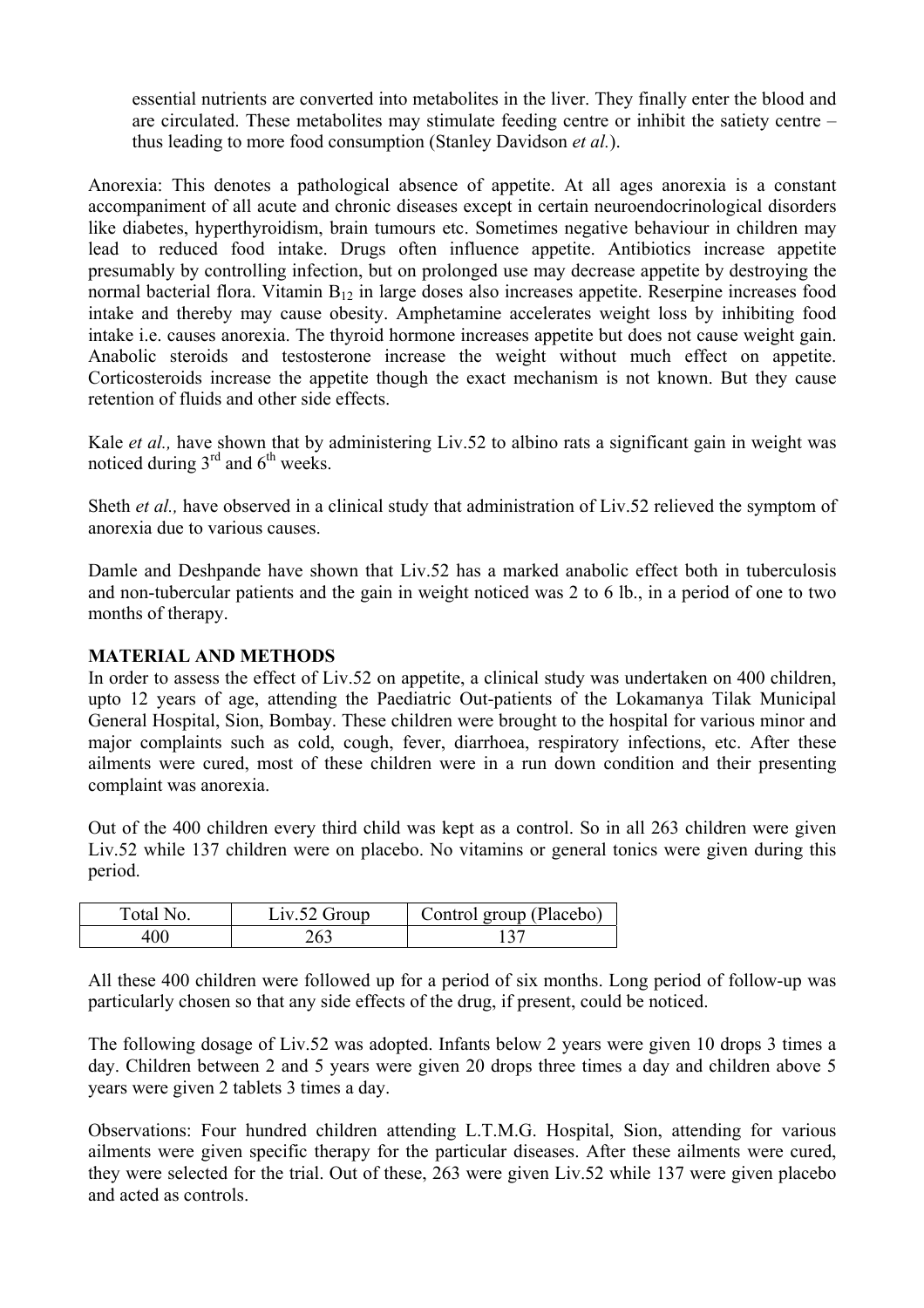essential nutrients are converted into metabolites in the liver. They finally enter the blood and are circulated. These metabolites may stimulate feeding centre or inhibit the satiety centre – thus leading to more food consumption (Stanley Davidson *et al.*).

Anorexia: This denotes a pathological absence of appetite. At all ages anorexia is a constant accompaniment of all acute and chronic diseases except in certain neuroendocrinological disorders like diabetes, hyperthyroidism, brain tumours etc. Sometimes negative behaviour in children may lead to reduced food intake. Drugs often influence appetite. Antibiotics increase appetite presumably by controlling infection, but on prolonged use may decrease appetite by destroying the normal bacterial flora. Vitamin  $B_{12}$  in large doses also increases appetite. Reserpine increases food intake and thereby may cause obesity. Amphetamine accelerates weight loss by inhibiting food intake i.e. causes anorexia. The thyroid hormone increases appetite but does not cause weight gain. Anabolic steroids and testosterone increase the weight without much effect on appetite. Corticosteroids increase the appetite though the exact mechanism is not known. But they cause retention of fluids and other side effects.

Kale *et al.*, have shown that by administering Liv.52 to albino rats a significant gain in weight was noticed during  $3<sup>rd</sup>$  and  $6<sup>th</sup>$  weeks.

Sheth *et al.,* have observed in a clinical study that administration of Liv.52 relieved the symptom of anorexia due to various causes.

Damle and Deshpande have shown that Liv.52 has a marked anabolic effect both in tuberculosis and non-tubercular patients and the gain in weight noticed was 2 to 6 lb., in a period of one to two months of therapy.

## **MATERIAL AND METHODS**

In order to assess the effect of Liv.52 on appetite, a clinical study was undertaken on 400 children, upto 12 years of age, attending the Paediatric Out-patients of the Lokamanya Tilak Municipal General Hospital, Sion, Bombay. These children were brought to the hospital for various minor and major complaints such as cold, cough, fever, diarrhoea, respiratory infections, etc. After these ailments were cured, most of these children were in a run down condition and their presenting complaint was anorexia.

Out of the 400 children every third child was kept as a control. So in all 263 children were given Liv.52 while 137 children were on placebo. No vitamins or general tonics were given during this period.

| Total No.      | $Liv.52$ Group | Control group (Placebo) |
|----------------|----------------|-------------------------|
| . <sup>.</sup> |                |                         |

All these 400 children were followed up for a period of six months. Long period of follow-up was particularly chosen so that any side effects of the drug, if present, could be noticed.

The following dosage of Liv.52 was adopted. Infants below 2 years were given 10 drops 3 times a day. Children between 2 and 5 years were given 20 drops three times a day and children above 5 years were given 2 tablets 3 times a day.

Observations: Four hundred children attending L.T.M.G. Hospital, Sion, attending for various ailments were given specific therapy for the particular diseases. After these ailments were cured, they were selected for the trial. Out of these, 263 were given Liv.52 while 137 were given placebo and acted as controls.